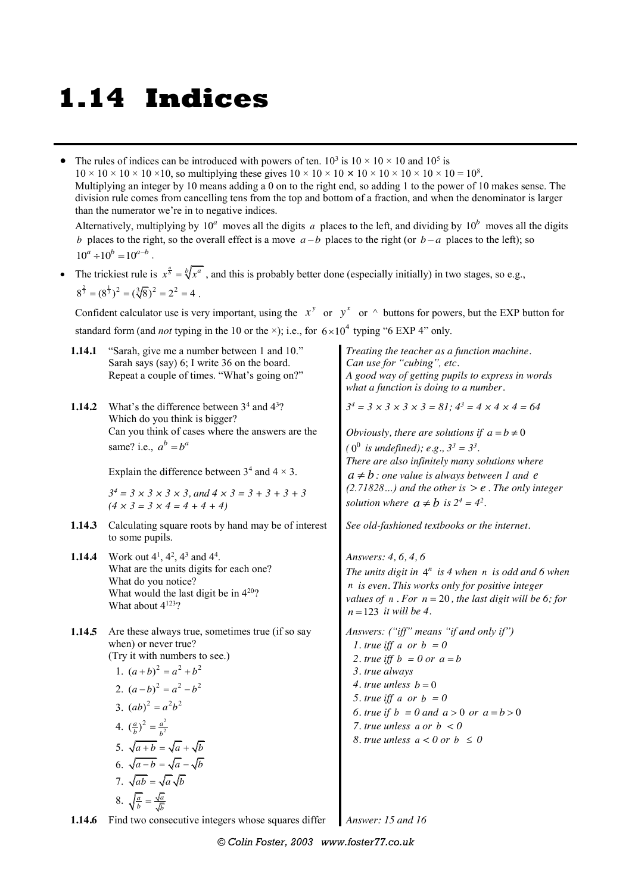# **1.14 Indices**

• The rules of indices can be introduced with powers of ten.  $10^3$  is  $10 \times 10 \times 10$  and  $10^5$  is  $10 \times 10 \times 10 \times 10 \times 10$ , so multiplying these gives  $10 \times 10 \times 10 \times 10 \times 10 \times 10 \times 10 \times 10 = 10^8$ . Multiplying an integer by 10 means adding a 0 on to the right end, so adding 1 to the power of 10 makes sense. The division rule comes from cancelling tens from the top and bottom of a fraction, and when the denominator is larger than the numerator we're in to negative indices.

Alternatively, multiplying by  $10^a$  moves all the digits *a* places to the left, and dividing by  $10^b$  moves all the digits *b* places to the right, so the overall effect is a move  $a - b$  places to the right (or  $b - a$  places to the left); so  $10^a \div 10^b = 10^{a-b}$ .

• The trickiest rule is  $x^{\frac{a}{b}} = \sqrt[b]{x^a}$ , and this is probably better done (especially initially) in two stages, so e.g.,  $8^{\frac{2}{3}} = (8^{\frac{1}{3}})^2 = (\sqrt[3]{8})^2 = 2^2 = 4$ .

Confident calculator use is very important, using the  $x^y$  or  $y^x$  or  $\wedge$  buttons for powers, but the EXP button for standard form (and *not* typing in the 10 or the  $\times$ ); i.e., for  $6 \times 10^4$  typing "6 EXP 4" only.

| 1.14.1 | "Sarah, give me a number between 1 and 10."<br>Sarah says (say) 6; I write 36 on the board.<br>Repeat a couple of times. "What's going on?"                                                                                                                                                                                                                                                                                   | Treating the teacher as a function machine.<br>Can use for "cubing", etc.<br>A good way of getting pupils to express in words<br>what a function is doing to a number.                                                                                                                                                                                                                     |  |  |
|--------|-------------------------------------------------------------------------------------------------------------------------------------------------------------------------------------------------------------------------------------------------------------------------------------------------------------------------------------------------------------------------------------------------------------------------------|--------------------------------------------------------------------------------------------------------------------------------------------------------------------------------------------------------------------------------------------------------------------------------------------------------------------------------------------------------------------------------------------|--|--|
| 1.14.2 | What's the difference between $34$ and $43$ ?<br>Which do you think is bigger?<br>Can you think of cases where the answers are the<br>same? i.e., $a^b = b^a$<br>Explain the difference between $3^4$ and $4 \times 3$ .<br>$3^4 = 3 \times 3 \times 3 \times 3$ , and $4 \times 3 = 3 + 3 + 3 + 3$<br>$(4 \times 3 = 3 \times 4 = 4 + 4 + 4)$                                                                                | $3^4 = 3 \times 3 \times 3 \times 3 = 81$ ; $4^3 = 4 \times 4 \times 4 = 64$<br>Obviously, there are solutions if $a = b \neq 0$<br>$(0^0$ is undefined); e.g., $3^3 = 3^3$ .<br>There are also infinitely many solutions where<br>$a \neq b$ : one value is always between 1 and e<br>$(2.71828)$ and the other is $> e$ . The only integer<br>solution where $a \neq b$ is $2^4 = 4^2$ . |  |  |
| 1.14.3 | Calculating square roots by hand may be of interest<br>to some pupils.                                                                                                                                                                                                                                                                                                                                                        | See old-fashioned textbooks or the internet.                                                                                                                                                                                                                                                                                                                                               |  |  |
| 1.14.4 | Work out $4^1$ , $4^2$ , $4^3$ and $4^4$ .<br>What are the units digits for each one?<br>What do you notice?<br>What would the last digit be in $4^{20}$ ?<br>What about $4^{123}$ ?                                                                                                                                                                                                                                          | Answers: 4, 6, 4, 6<br>The units digit in $4^n$ is 4 when n is odd and 6 when<br>n is even. This works only for positive integer<br>values of $n$ . For $n = 20$ , the last digit will be 6; for<br>$n=123$ it will be 4.                                                                                                                                                                  |  |  |
| 1.14.5 | Are these always true, sometimes true (if so say<br>when) or never true?<br>(Try it with numbers to see.)<br>1. $(a+b)^2 = a^2 + b^2$<br>2. $(a-b)^2 = a^2 - b^2$<br>3. $(ab)^2 = a^2b^2$<br>4. $\left(\frac{a}{b}\right)^2 = \frac{a^2}{b^2}$<br>5. $\sqrt{a+b} = \sqrt{a} + \sqrt{b}$<br>6. $\sqrt{a-b} = \sqrt{a} - \sqrt{b}$<br>7. $\sqrt{ab} = \sqrt{a} \sqrt{b}$<br>8. $\sqrt{\frac{a}{b}} = \frac{\sqrt{a}}{\sqrt{b}}$ | Answers: ("iff" means "if and only if")<br>1. true iff a or $b = 0$<br>2. true iff $b = 0$ or $a = b$<br>3. true always<br>4. true unless $b = 0$<br>5. true iff a or $b = 0$<br>6. true if $b = 0$ and $a > 0$ or $a = b > 0$<br>7. true unless a or $b < 0$<br>8. true unless $a < 0$ or $b \le 0$                                                                                       |  |  |

**1.14.6** Find two consecutive integers whose squares differ *Answer: 15 and 16*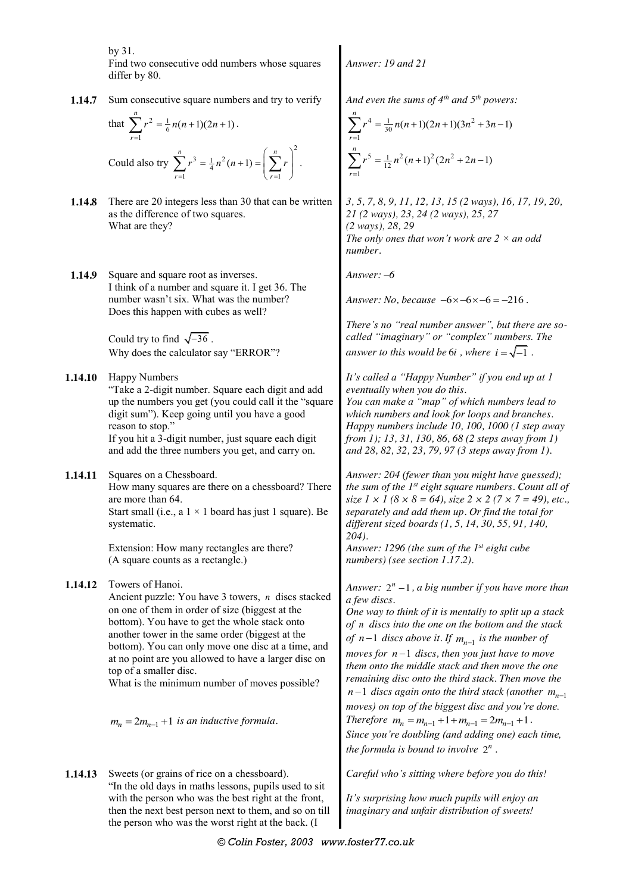by 31.

Find two consecutive odd numbers whose squares differ by 80.

**1.14.7** Sum consecutive square numbers and try to verify

that 
$$
\sum_{r=1}^{n} r^2 = \frac{1}{6} n(n+1)(2n+1).
$$
  
Could also try 
$$
\sum_{r=1}^{n} r^3 = \frac{1}{4} n^2 (n+1) = \left(\sum_{r=1}^{n} r\right)^2.
$$

- **1.14.8** There are 20 integers less than 30 that can be written as the difference of two squares. What are they?
- **1.14.9** Square and square root as inverses. I think of a number and square it. I get 36. The number wasn't six. What was the number? Does this happen with cubes as well?

Could try to find  $\sqrt{-36}$ . Why does the calculator say "ERROR"?

**1.14.10** Happy Numbers

"Take a 2-digit number. Square each digit and add up the numbers you get (you could call it the "square digit sum"). Keep going until you have a good reason to stop." If you hit a 3-digit number, just square each digit

and add the three numbers you get, and carry on.

**1.14.11** Squares on a Chessboard. How many squares are there on a chessboard? There are more than 64. Start small (i.e., a  $1 \times 1$  board has just 1 square). Be systematic.

> Extension: How many rectangles are there? (A square counts as a rectangle.)

**1.14.12** Towers of Hanoi.

Ancient puzzle: You have 3 towers, *n* discs stacked on one of them in order of size (biggest at the bottom). You have to get the whole stack onto another tower in the same order (biggest at the bottom). You can only move one disc at a time, and at no point are you allowed to have a larger disc on top of a smaller disc.

What is the minimum number of moves possible?

 $m_n = 2m_{n-1} + 1$  is an inductive formula.

**1.14.13** Sweets (or grains of rice on a chessboard). "In the old days in maths lessons, pupils used to sit with the person who was the best right at the front, then the next best person next to them, and so on till the person who was the worst right at the back. (I

*Answer: 19 and 21*

*And even the sums of 4th and 5th powers:* 

$$
\sum_{r=1}^{n} r^4 = \frac{1}{30} n(n+1)(2n+1)(3n^2 + 3n - 1)
$$
  

$$
\sum_{r=1}^{n} r^5 = \frac{1}{12} n^2 (n+1)^2 (2n^2 + 2n - 1)
$$

*3, 5, 7, 8, 9, 11, 12, 13, 15 (2 ways), 16, 17, 19, 20, 21 (2 ways), 23, 24 (2 ways), 25, 27 (2 ways), 28, 29 The only ones that won't work are 2 × an odd number.*

*Answer: –6*

*Answer: No, because*  $-6 \times -6 \times -6 = -216$ .

*There's no "real number answer", but there are socalled "imaginary" or "complex" numbers. The answer to this would be 6<i>i*, where  $i = \sqrt{-1}$ .

*It's called a "Happy Number" if you end up at 1 eventually when you do this. You can make a "map" of which numbers lead to* 

*which numbers and look for loops and branches. Happy numbers include 10, 100, 1000 (1 step away from 1); 13, 31, 130, 86, 68 (2 steps away from 1) and 28, 82, 32, 23, 79, 97 (3 steps away from 1).*

*Answer: 204 (fewer than you might have guessed); the sum of the 1st eight square numbers. Count all of size 1*  $\times$  *1* (8  $\times$  8 = 64), size 2  $\times$  2 (7  $\times$  7 = 49), etc., *separately and add them up. Or find the total for different sized boards (1, 5, 14, 30, 55, 91, 140, 204).*

*Answer: 1296 (the sum of the 1st eight cube numbers) (see section 1.17.2).*

*Answer:*  $2^n - 1$ , *a big number if you have more than a few discs.*

*One way to think of it is mentally to split up a stack of n discs into the one on the bottom and the stack of*  $n-1$  *discs above it. If*  $m_{n-1}$  *is the number of*  $moves for n-1 discs, then you just have to move$ *them onto the middle stack and then move the one remaining disc onto the third stack. Then move the*   $n-1$  *discs again onto the third stack (another*  $m_{n-1}$ *) moves) on top of the biggest disc and you're done. Therefore*  $m_n = m_{n-1} + 1 + m_{n-1} = 2m_{n-1} + 1$ . *Since you're doubling (and adding one) each time, the formula is bound to involve*  $2^n$ .

*Careful who's sitting where before you do this!*

*It's surprising how much pupils will enjoy an imaginary and unfair distribution of sweets!*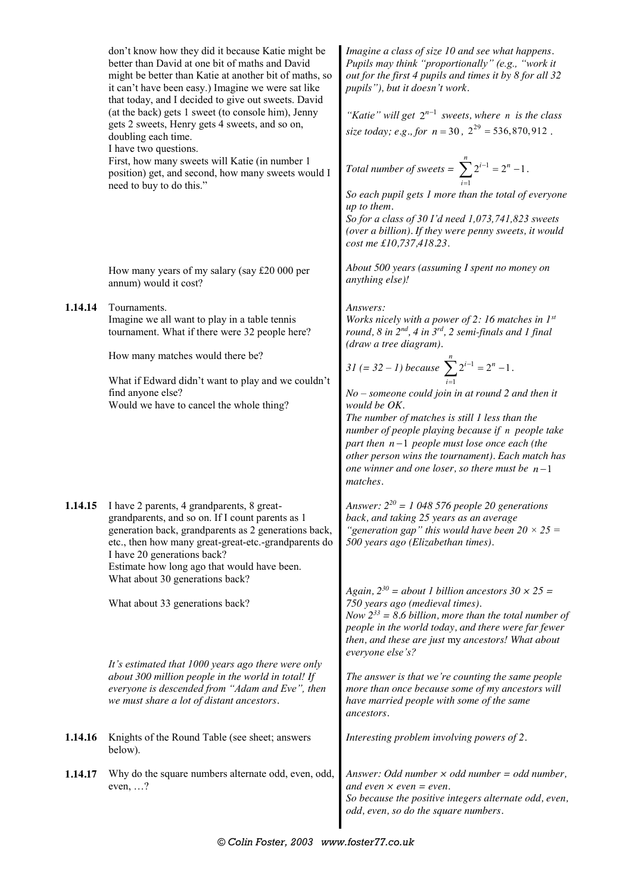|         | don't know how they did it because Katie might be<br>better than David at one bit of maths and David<br>might be better than Katie at another bit of maths, so<br>it can't have been easy.) Imagine we were sat like<br>that today, and I decided to give out sweets. David<br>(at the back) gets 1 sweet (to console him), Jenny<br>gets 2 sweets, Henry gets 4 sweets, and so on,<br>doubling each time.<br>I have two questions.<br>First, how many sweets will Katie (in number 1 | Imagine a class of size 10 and see what happens.<br>Pupils may think "proportionally" (e.g., "work it<br>out for the first 4 pupils and times it by 8 for all 32<br>pupils"), but it doesn't work.<br>"Katie" will get $2^{n-1}$ sweets, where n is the class<br>size today; e.g., for $n = 30$ , $2^{29} = 536,870,912$ .<br>Total number of sweets = $\sum_{i=1}^{n} 2^{i-1} = 2^{n} - 1$ .<br>So each pupil gets 1 more than the total of everyone<br>up to them.<br>So for a class of 30 I'd need 1,073,741,823 sweets<br>(over a billion). If they were penny sweets, it would<br>cost me £10,737,418.23. |  |  |  |
|---------|---------------------------------------------------------------------------------------------------------------------------------------------------------------------------------------------------------------------------------------------------------------------------------------------------------------------------------------------------------------------------------------------------------------------------------------------------------------------------------------|----------------------------------------------------------------------------------------------------------------------------------------------------------------------------------------------------------------------------------------------------------------------------------------------------------------------------------------------------------------------------------------------------------------------------------------------------------------------------------------------------------------------------------------------------------------------------------------------------------------|--|--|--|
|         | position) get, and second, how many sweets would I<br>need to buy to do this."                                                                                                                                                                                                                                                                                                                                                                                                        |                                                                                                                                                                                                                                                                                                                                                                                                                                                                                                                                                                                                                |  |  |  |
|         | How many years of my salary (say £20 000 per<br>annum) would it cost?                                                                                                                                                                                                                                                                                                                                                                                                                 | About 500 years (assuming I spent no money on<br>anything else)!                                                                                                                                                                                                                                                                                                                                                                                                                                                                                                                                               |  |  |  |
| 1.14.14 | Tournaments.<br>Imagine we all want to play in a table tennis<br>tournament. What if there were 32 people here?                                                                                                                                                                                                                                                                                                                                                                       | Answers:<br>Works nicely with a power of 2: 16 matches in $I^{st}$<br>round, 8 in $2^{nd}$ , 4 in $3^{rd}$ , 2 semi-finals and 1 final<br>(draw a tree diagram).                                                                                                                                                                                                                                                                                                                                                                                                                                               |  |  |  |
|         | How many matches would there be?<br>What if Edward didn't want to play and we couldn't<br>find anyone else?<br>Would we have to cancel the whole thing?                                                                                                                                                                                                                                                                                                                               | 31 (= 32 – 1) because $\sum_{i=1}^{n} 2^{i-1} = 2^{n} - 1$ .<br>$No$ – someone could join in at round 2 and then it<br>would be OK.<br>The number of matches is still 1 less than the<br>number of people playing because if n people take<br>part then $n-1$ people must lose once each (the<br>other person wins the tournament). Each match has<br>one winner and one loser, so there must be $n-1$<br>matches.                                                                                                                                                                                             |  |  |  |
|         | 1.14.15 I have 2 parents, 4 grandparents, 8 great-<br>grandparents, and so on. If I count parents as 1<br>generation back, grandparents as 2 generations back,<br>etc., then how many great-great-etc.-grandparents do<br>I have 20 generations back?<br>Estimate how long ago that would have been.<br>What about 30 generations back?                                                                                                                                               | Answer: $2^{20}$ = 1 048 576 people 20 generations<br>back, and taking 25 years as an average<br>"generation gap" this would have been $20 \times 25 =$<br>500 years ago (Elizabethan times).                                                                                                                                                                                                                                                                                                                                                                                                                  |  |  |  |
|         | What about 33 generations back?                                                                                                                                                                                                                                                                                                                                                                                                                                                       | Again, $2^{30}$ = about 1 billion ancestors $30 \times 25$ =<br>750 years ago (medieval times).<br>Now $2^{33}$ = 8.6 billion, more than the total number of<br>people in the world today, and there were far fewer<br>then, and these are just my ancestors! What about<br>everyone else's?                                                                                                                                                                                                                                                                                                                   |  |  |  |
|         | It's estimated that 1000 years ago there were only<br>about 300 million people in the world in total! If<br>everyone is descended from "Adam and Eve", then<br>we must share a lot of distant ancestors.                                                                                                                                                                                                                                                                              | The answer is that we're counting the same people<br>more than once because some of my ancestors will<br>have married people with some of the same<br>ancestors.                                                                                                                                                                                                                                                                                                                                                                                                                                               |  |  |  |
| 1.14.16 | Knights of the Round Table (see sheet; answers<br>below).                                                                                                                                                                                                                                                                                                                                                                                                                             | Interesting problem involving powers of 2.                                                                                                                                                                                                                                                                                                                                                                                                                                                                                                                                                                     |  |  |  |
| 1.14.17 | Why do the square numbers alternate odd, even, odd,<br>even, $\ldots$ ?                                                                                                                                                                                                                                                                                                                                                                                                               | Answer: Odd number $\times$ odd number = odd number,<br>and even $\times$ even $=$ even.<br>So because the positive integers alternate odd, even,<br>odd, even, so do the square numbers.                                                                                                                                                                                                                                                                                                                                                                                                                      |  |  |  |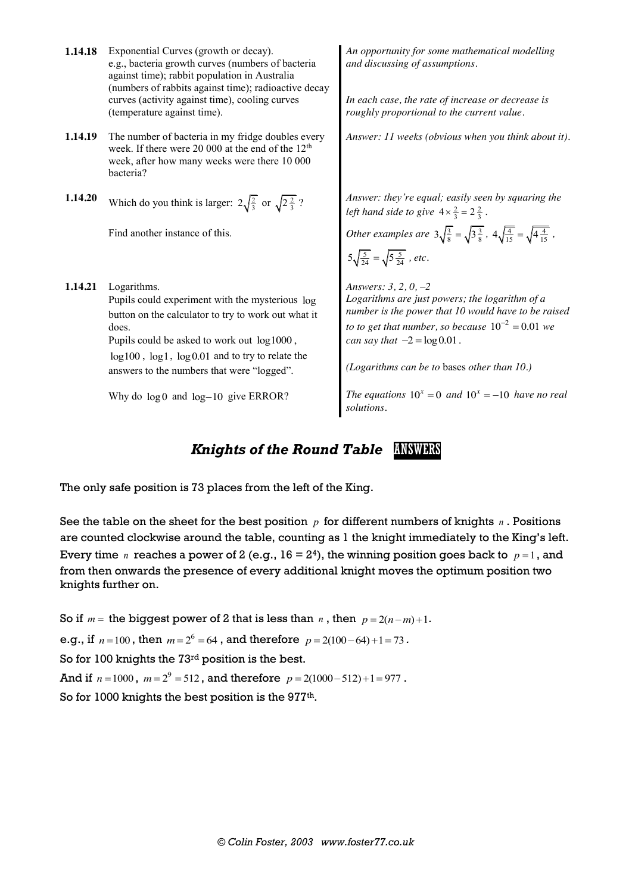- **1.14.18** Exponential Curves (growth or decay). e.g., bacteria growth curves (numbers of bacteria against time); rabbit population in Australia (numbers of rabbits against time); radioactive decay curves (activity against time), cooling curves (temperature against time).
- **1.14.19** The number of bacteria in my fridge doubles every week. If there were 20 000 at the end of the 12<sup>th</sup> week, after how many weeks were there 10 000 bacteria?
- **1.14.20** Which do you think is larger:  $2\sqrt{\frac{2}{3}}$  or  $\sqrt{2\frac{2}{3}}$ ?

Find another instance of this.

**1.14.21** Logarithms.

Pupils could experiment with the mysterious log button on the calculator to try to work out what it does.

Pupils could be asked to work out log1000 ,

log100 , log1, log0.01 and to try to relate the answers to the numbers that were "logged".

Why do  $log 0$  and  $log -10$  give ERROR?

*An opportunity for some mathematical modelling and discussing of assumptions.*

*In each case, the rate of increase or decrease is roughly proportional to the current value.*

*Answer: 11 weeks (obvious when you think about it).*

*Answer: they're equal; easily seen by squaring the left hand side to give*  $4 \times \frac{2}{3} = 2 \frac{2}{3}$ .

*Other examples are*  $3\sqrt{\frac{3}{8}} = \sqrt{3\frac{3}{8}}$ ,  $4\sqrt{\frac{4}{15}} = \sqrt{4\frac{4}{15}}$ ,  $5\sqrt{\frac{5}{24}} = \sqrt{5\frac{5}{24}}$ , etc.

*Answers: 3, 2, 0, –2 Logarithms are just powers; the logarithm of a number is the power that 10 would have to be raised to to get that number, so because*  $10^{-2} = 0.01$  *we can say that*  $-2 = \log 0.01$ .

*(Logarithms can be to* bases *other than 10.)*

*The equations*  $10^x = 0$  *and*  $10^x = -10$  *have no real solutions.*

#### *Knights of the Round Table ANSWERS*

The only safe position is 73 places from the left of the King.

See the table on the sheet for the best position  $p$  for different numbers of knights  $n$ . Positions are counted clockwise around the table, counting as 1 the knight immediately to the King's left. Every time *n* reaches a power of 2 (e.g.,  $16 = 2<sup>4</sup>$ ), the winning position goes back to  $p = 1$ , and from then onwards the presence of every additional knight moves the optimum position two knights further on.

So if  $m =$  the biggest power of 2 that is less than *n*, then  $p = 2(n-m)+1$ . e.g., if  $n = 100$ , then  $m = 2^6 = 64$ , and therefore  $p = 2(100 - 64) + 1 = 73$ . So for 100 knights the 73rd position is the best. And if  $n = 1000$ ,  $m = 2^9 = 512$ , and therefore  $p = 2(1000 - 512) + 1 = 977$ . So for 1000 knights the best position is the 977<sup>th</sup>.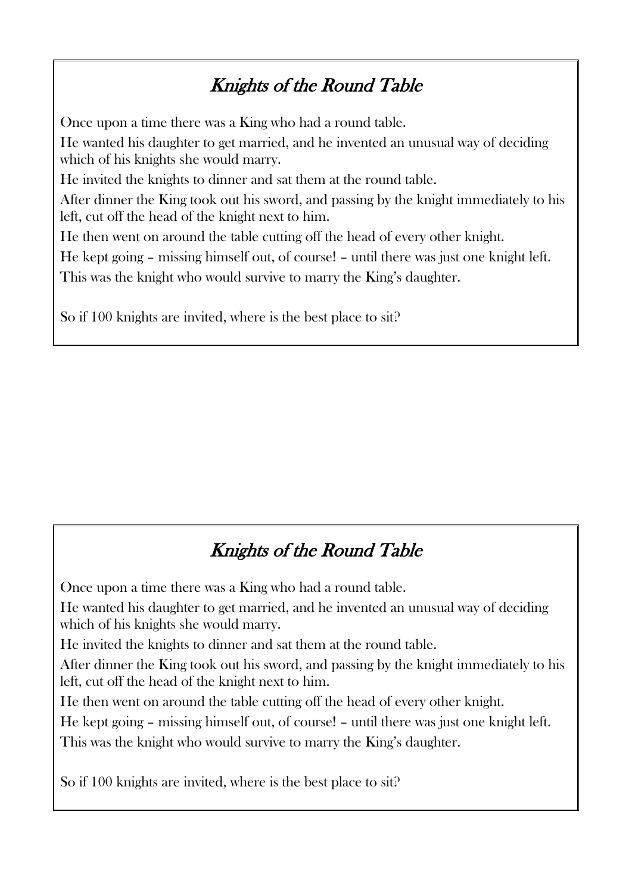### Knights of the Round Table

Once upon a time there was a King who had a round table. He wanted his daughter to get married, and he invented an unusual way of deciding which of his knights she would marry. He invited the knights to dinner and sat them at the round table. After dinner the King took out his sword, and passing by the knight immediately to his left, cut off the head of the knight next to him. He then went on around the table cutting off the head of every other knight. He kept going – missing himself out, of course! – until there was just one knight left. This was the knight who would survive to marry the King's daughter.

So if 100 knights are invited, where is the best place to sit?

## Knights of the Round Table

Once upon a time there was a King who had a round table.

He wanted his daughter to get married, and he invented an unusual way of deciding which of his knights she would marry.

He invited the knights to dinner and sat them at the round table.

After dinner the King took out his sword, and passing by the knight immediately to his left, cut off the head of the knight next to him.

He then went on around the table cutting off the head of every other knight.

He kept going – missing himself out, of course! – until there was just one knight left.

This was the knight who would survive to marry the King's daughter.

So if 100 knights are invited, where is the best place to sit?